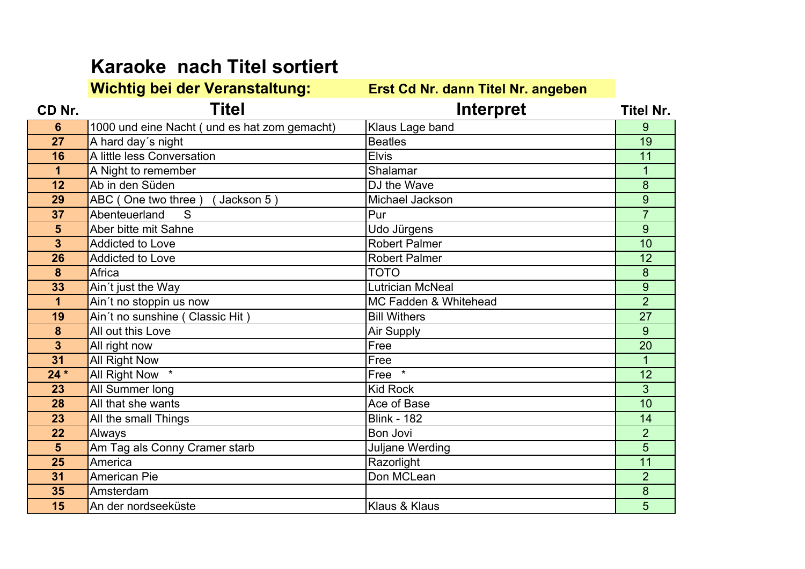## **Karaoke nach Titel sortiert**

## **Wichtig bei der Veranstaltung: Erst Cd Nr. dann Titel Nr. angeben**

| CD Nr. | <b>Titel</b>                                  | Interpret                        | <b>Titel Nr.</b> |
|--------|-----------------------------------------------|----------------------------------|------------------|
| 6      | 1000 und eine Nacht ( und es hat zom gemacht) | Klaus Lage band                  | 9                |
| 27     | A hard day's night                            | <b>Beatles</b>                   | 19               |
| 16     | A little less Conversation                    | <b>Elvis</b>                     | 11               |
| 1      | A Night to remember                           | Shalamar                         |                  |
| 12     | Ab in den Süden                               | DJ the Wave                      | 8                |
| 29     | ABC (One two three)<br>Jackson 5)             | Michael Jackson                  | 9                |
| 37     | Abenteuerland<br>S                            | Pur                              | $\overline{7}$   |
| 5      | Aber bitte mit Sahne                          | Udo Jürgens                      | 9                |
| 3      | <b>Addicted to Love</b>                       | <b>Robert Palmer</b>             | 10               |
| 26     | <b>Addicted to Love</b>                       | <b>Robert Palmer</b>             | 12               |
| 8      | Africa                                        | <b>TOTO</b>                      | 8                |
| 33     | Ain't just the Way                            | <b>Lutrician McNeal</b>          | 9                |
| 1      | Ain't no stoppin us now                       | <b>MC Fadden &amp; Whitehead</b> | $\overline{2}$   |
| 19     | Ain't no sunshine (Classic Hit)               | <b>Bill Withers</b>              | 27               |
| 8      | All out this Love                             | Air Supply                       | 9                |
| 3      | All right now                                 | Free                             | $\overline{20}$  |
| 31     | All Right Now                                 | Free                             | 1                |
| $24 *$ | All Right Now *                               | $\star$<br>Free                  | 12               |
| 23     | All Summer long                               | <b>Kid Rock</b>                  | $\overline{3}$   |
| 28     | All that she wants                            | Ace of Base                      | 10               |
| 23     | All the small Things                          | <b>Blink - 182</b>               | 14               |
| 22     | Always                                        | Bon Jovi                         | $\overline{2}$   |
| 5      | Am Tag als Conny Cramer starb                 | Juljane Werding                  | 5                |
| 25     | America                                       | Razorlight                       | 11               |
| 31     | <b>American Pie</b>                           | Don MCLean                       | $\overline{2}$   |
| 35     | Amsterdam                                     |                                  | 8                |
| 15     | An der nordseeküste                           | Klaus & Klaus                    | 5                |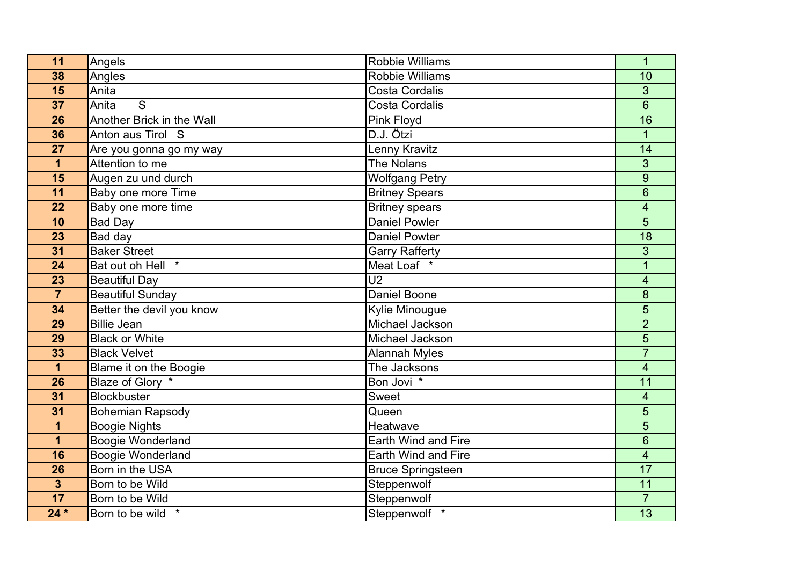| 11                      | Angels                     | <b>Robbie Williams</b>   | $\overline{1}$           |
|-------------------------|----------------------------|--------------------------|--------------------------|
| 38                      | Angles                     | <b>Robbie Williams</b>   | 10                       |
| 15                      | Anita                      | <b>Costa Cordalis</b>    | 3                        |
| 37                      | S<br>Anita                 | <b>Costa Cordalis</b>    | 6                        |
| 26                      | Another Brick in the Wall  | Pink Floyd               | 16                       |
| 36                      | Anton aus Tirol S          | D.J. Ötzi                | $\mathbf{1}$             |
| 27                      | Are you gonna go my way    | Lenny Kravitz            | 14                       |
| $\mathbf{1}$            | Attention to me            | <b>The Nolans</b>        | 3                        |
| 15                      | Augen zu und durch         | <b>Wolfgang Petry</b>    | 9                        |
| 11                      | Baby one more Time         | <b>Britney Spears</b>    | 6                        |
| 22                      | Baby one more time         | <b>Britney spears</b>    | 4                        |
| 10                      | <b>Bad Day</b>             | Daniel Powler            | 5                        |
| 23                      | Bad day                    | <b>Daniel Powter</b>     | 18                       |
| 31                      | <b>Baker Street</b>        | <b>Garry Rafferty</b>    | 3                        |
| 24                      | $\star$<br>Bat out oh Hell | Meat Loaf *              |                          |
| 23                      | <b>Beautiful Day</b>       | U <sub>2</sub>           | $\overline{\mathbf{4}}$  |
| $\overline{7}$          | Beautiful Sunday           | <b>Daniel Boone</b>      | 8                        |
| 34                      | Better the devil you know  | Kylie Minougue           | 5                        |
| 29                      | <b>Billie Jean</b>         | Michael Jackson          | $\overline{2}$           |
| 29                      | <b>Black or White</b>      | Michael Jackson          | 5                        |
| 33                      | <b>Black Velvet</b>        | <b>Alannah Myles</b>     | $\overline{7}$           |
| 1                       | Blame it on the Boogie     | The Jacksons             | $\overline{\mathcal{A}}$ |
| 26                      | Blaze of Glory *           | Bon Jovi *               | 11                       |
| 31                      | <b>Blockbuster</b>         | Sweet                    | 4                        |
| 31                      | <b>Bohemian Rapsody</b>    | Queen                    | 5                        |
| 1                       | <b>Boogie Nights</b>       | Heatwave                 | 5                        |
| $\mathbf{1}$            | Boogie Wonderland          | Earth Wind and Fire      | 6                        |
| 16                      | Boogie Wonderland          | Earth Wind and Fire      | $\overline{\mathcal{A}}$ |
| 26                      | Born in the USA            | <b>Bruce Springsteen</b> | 17                       |
| $\overline{\mathbf{3}}$ | Born to be Wild            | Steppenwolf              | 11                       |
| 17                      | Born to be Wild            | Steppenwolf              | $\overline{7}$           |
| $24*$                   | Born to be wild            | Steppenwolf              | 13                       |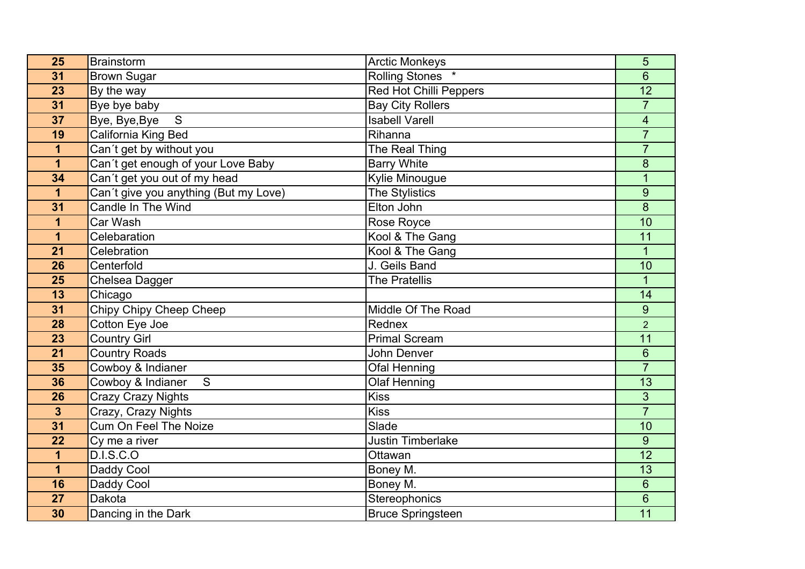| 25              | Brainstorm                            | <b>Arctic Monkeys</b>    | 5                       |
|-----------------|---------------------------------------|--------------------------|-------------------------|
| 31              | <b>Brown Sugar</b>                    | <b>Rolling Stones</b>    | 6                       |
| 23              | By the way                            | Red Hot Chilli Peppers   | $\overline{12}$         |
| $\overline{31}$ | Bye bye baby                          | <b>Bay City Rollers</b>  | $\overline{7}$          |
| 37              | Bye, Bye, Bye<br>S                    | <b>Isabell Varell</b>    | $\overline{\mathbf{4}}$ |
| 19              | California King Bed                   | Rihanna                  | $\overline{7}$          |
| 1               | Can't get by without you              | The Real Thing           | $\overline{7}$          |
| 1               | Can't get enough of your Love Baby    | <b>Barry White</b>       | 8                       |
| 34              | Can't get you out of my head          | Kylie Minougue           | $\overline{1}$          |
| $\mathbf 1$     | Can't give you anything (But my Love) | <b>The Stylistics</b>    | 9                       |
| 31              | Candle In The Wind                    | Elton John               | 8                       |
| 1               | Car Wash                              | Rose Royce               | 10                      |
| $\mathbf 1$     | Celebaration                          | Kool & The Gang          | 11                      |
| 21              | Celebration                           | Kool & The Gang          | 1                       |
| 26              | Centerfold                            | J. Geils Band            | 10                      |
| 25              | Chelsea Dagger                        | <b>The Pratellis</b>     | $\mathbf{1}$            |
| 13              | Chicago                               |                          | 14                      |
| $\overline{31}$ | Chipy Chipy Cheep Cheep               | Middle Of The Road       | 9                       |
| 28              | Cotton Eye Joe                        | Rednex                   | $\overline{2}$          |
| 23              | Country Girl                          | <b>Primal Scream</b>     | 11                      |
| 21              | <b>Country Roads</b>                  | John Denver              | $6\phantom{1}$          |
| 35              | Cowboy & Indianer                     | <b>Ofal Henning</b>      | $\overline{7}$          |
| 36              | Cowboy & Indianer<br>S                | <b>Olaf Henning</b>      | 13                      |
| 26              | Crazy Crazy Nights                    | <b>Kiss</b>              | $\overline{3}$          |
| $\mathbf{3}$    | Crazy, Crazy Nights                   | <b>Kiss</b>              | $\overline{7}$          |
| 31              | Cum On Feel The Noize                 | Slade                    | 10                      |
| 22              | Cy me a river                         | <b>Justin Timberlake</b> | 9                       |
| $\mathbf 1$     | D.I.S.C.O                             | Ottawan                  | $\overline{12}$         |
| $\mathbf 1$     | Daddy Cool                            | Boney M.                 | 13                      |
| 16              | Daddy Cool                            | Boney M.                 | 6                       |
| 27              | Dakota                                | Stereophonics            | $6\phantom{1}$          |
| 30              | Dancing in the Dark                   | <b>Bruce Springsteen</b> | 11                      |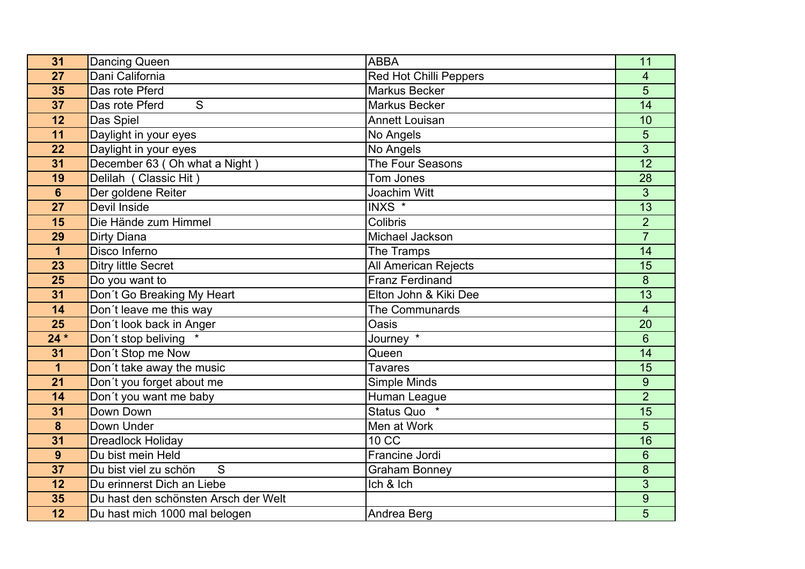| 31              | Dancing Queen                        | <b>ABBA</b>                   | 11              |
|-----------------|--------------------------------------|-------------------------------|-----------------|
| 27              | Dani California                      | <b>Red Hot Chilli Peppers</b> | 4               |
| 35              | Das rote Pferd                       | <b>Markus Becker</b>          | 5               |
| 37              | S<br>Das rote Pferd                  | <b>Markus Becker</b>          | $\overline{14}$ |
| 12              | Das Spiel                            | <b>Annett Louisan</b>         | 10              |
| 11              | Daylight in your eyes                | No Angels                     | 5               |
| 22              | Daylight in your eyes                | No Angels                     | 3               |
| 31              | December 63 (Oh what a Night)        | The Four Seasons              | $\overline{12}$ |
| 19              | Delilah (Classic Hit)                | Tom Jones                     | 28              |
| $6\phantom{1}6$ | Der goldene Reiter                   | Joachim Witt                  | 3               |
| 27              | Devil Inside                         | INXS <sup>*</sup>             | 13              |
| 15              | Die Hände zum Himmel                 | Colibris                      | $\overline{2}$  |
| 29              | Dirty Diana                          | Michael Jackson               | $\overline{7}$  |
| $\mathbf{1}$    | Disco Inferno                        | The Tramps                    | 14              |
| 23              | <b>Ditry little Secret</b>           | <b>All American Rejects</b>   | 15              |
| 25              | Do you want to                       | <b>Franz Ferdinand</b>        | 8               |
| 31              | Don't Go Breaking My Heart           | Elton John & Kiki Dee         | 13              |
| 14              | Don't leave me this way              | <b>The Communards</b>         | $\overline{4}$  |
| 25              | Don't look back in Anger             | Oasis                         | 20              |
| $24*$           | Don't stop beliving                  | Journey $\overline{X}$        | $6\phantom{1}$  |
| 31              | Don't Stop me Now                    | Queen                         | 14              |
| $\mathbf{1}$    | Don't take away the music            | <b>Tavares</b>                | 15              |
| 21              | Don't you forget about me            | Simple Minds                  | $9\,$           |
| $\overline{14}$ | Don't you want me baby               | Human League                  | $\overline{2}$  |
| 31              | Down Down                            | Status Quo *                  | 15              |
| 8               | Down Under                           | Men at Work                   | 5               |
| 31              | <b>Dreadlock Holiday</b>             | <b>10 CC</b>                  | 16              |
| 9               | Du bist mein Held                    | Francine Jordi                | 6               |
| 37              | S<br>Du bist viel zu schön           | <b>Graham Bonney</b>          | 8               |
| 12              | Du erinnerst Dich an Liebe           | Ich & Ich                     | 3               |
| 35              | Du hast den schönsten Arsch der Welt |                               | $9$             |
| 12              | Du hast mich 1000 mal belogen        | Andrea Berg                   | 5               |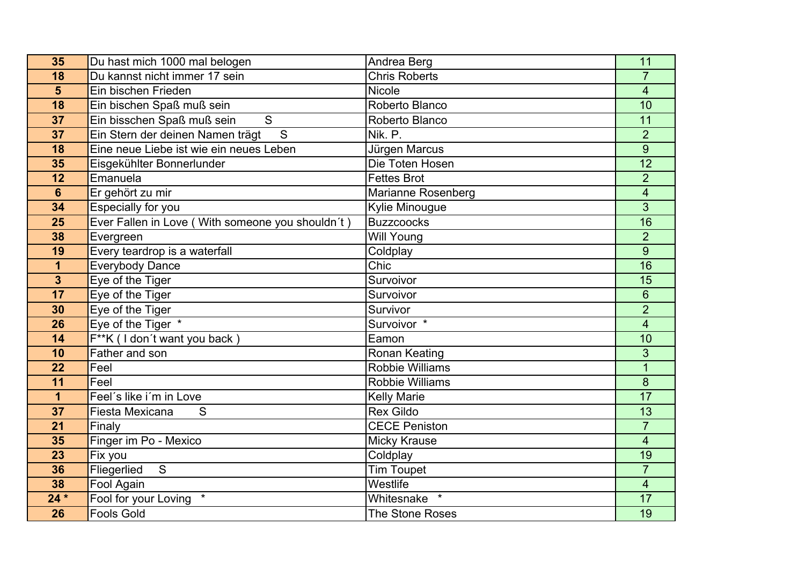| 35                      | Du hast mich 1000 mal belogen                      | Andrea Berg            | 11                       |
|-------------------------|----------------------------------------------------|------------------------|--------------------------|
| 18                      | Du kannst nicht immer 17 sein                      | <b>Chris Roberts</b>   | $\overline{7}$           |
| $5\phantom{1}$          | Ein bischen Frieden                                | Nicole                 | $\overline{\mathbf{4}}$  |
| 18                      | Ein bischen Spaß muß sein                          | Roberto Blanco         | 10                       |
| 37                      | Ein bisschen Spaß muß sein<br>S                    | Roberto Blanco         | 11                       |
| 37                      | $\overline{S}$<br>Ein Stern der deinen Namen trägt | Nik. P.                | $\overline{2}$           |
| 18                      | Eine neue Liebe ist wie ein neues Leben            | Jürgen Marcus          | $\overline{9}$           |
| 35                      | Eisgekühlter Bonnerlunder                          | Die Toten Hosen        | 12                       |
| 12                      | Emanuela                                           | <b>Fettes Brot</b>     | $\overline{2}$           |
| $6\phantom{1}$          | Er gehört zu mir                                   | Marianne Rosenberg     | $\overline{\mathbf{4}}$  |
| 34                      | Especially for you                                 | Kylie Minougue         | 3                        |
| 25                      | Ever Fallen in Love (With someone you shouldn't)   | <b>Buzzcoocks</b>      | 16                       |
| 38                      | Evergreen                                          | <b>Will Young</b>      | $\overline{2}$           |
| 19                      | Every teardrop is a waterfall                      | Coldplay               | 9                        |
| $\mathbf{1}$            | <b>Everybody Dance</b>                             | Chic                   | $\overline{16}$          |
| $\overline{\mathbf{3}}$ | Eye of the Tiger                                   | Survoivor              | 15                       |
| 17                      | Eye of the Tiger                                   | Survoivor              | $6\phantom{1}$           |
| 30                      | Eye of the Tiger                                   | Survivor               | $\overline{2}$           |
| 26                      | Eye of the Tiger *                                 | Survoivor <sup>*</sup> | $\overline{\mathbf{4}}$  |
| 14                      | F**K (I don't want you back)                       | Eamon                  | 10                       |
| 10                      | Father and son                                     | Ronan Keating          | 3                        |
| 22                      | Feel                                               | <b>Robbie Williams</b> | $\overline{1}$           |
| 11                      | Feel                                               | <b>Robbie Williams</b> | 8                        |
| $\mathbf 1$             | Feel's like i'm in Love                            | <b>Kelly Marie</b>     | 17                       |
| 37                      | Fiesta Mexicana<br>S                               | <b>Rex Gildo</b>       | 13                       |
| 21                      | Finaly                                             | <b>CECE Peniston</b>   | $\overline{7}$           |
| 35                      | Finger im Po - Mexico                              | <b>Micky Krause</b>    | $\overline{\mathcal{A}}$ |
| 23                      | Fix you                                            | Coldplay               | 19                       |
| 36                      | Fliegerlied<br>S                                   | <b>Tim Toupet</b>      | $\overline{7}$           |
| 38                      | Fool Again                                         | Westlife               | $\overline{\mathbf{4}}$  |
| $24*$                   | Fool for your Loving<br>$\star$                    | Whitesnake<br>$\star$  | 17                       |
| 26                      | <b>Fools Gold</b>                                  | <b>The Stone Roses</b> | 19                       |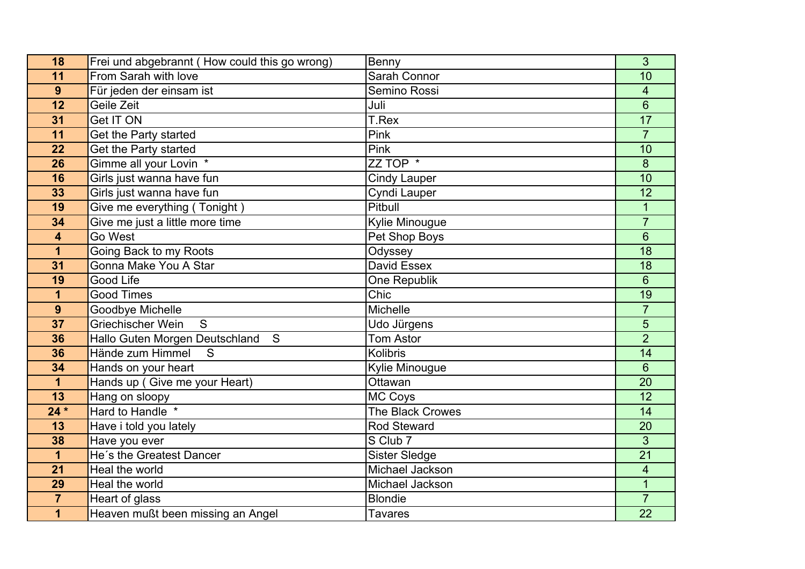| 18                      | Frei und abgebrannt (How could this go wrong) | Benny                | 3                       |
|-------------------------|-----------------------------------------------|----------------------|-------------------------|
| 11                      | From Sarah with love                          | Sarah Connor         | 10                      |
| 9                       | Für jeden der einsam ist                      | Semino Rossi         | 4                       |
| 12                      | Geile Zeit                                    | Juli                 | $6\phantom{1}$          |
| 31                      | <b>Get IT ON</b>                              | T.Rex                | 17                      |
| 11                      | Get the Party started                         | Pink                 | $\overline{7}$          |
| 22                      | Get the Party started                         | Pink                 | 10                      |
| 26                      | Gimme all your Lovin *                        | ZZ TOP *             | 8                       |
| 16                      | Girls just wanna have fun                     | <b>Cindy Lauper</b>  | 10                      |
| 33                      | Girls just wanna have fun                     | Cyndi Lauper         | 12                      |
| 19                      | Give me everything (Tonight)                  | Pitbull              | 1                       |
| 34                      | Give me just a little more time               | Kylie Minougue       | $\overline{7}$          |
| 4                       | Go West                                       | Pet Shop Boys        | 6                       |
| 1                       | Going Back to my Roots                        | Odyssey              | 18                      |
| 31                      | Gonna Make You A Star                         | David Essex          | 18                      |
| 19                      | <b>Good Life</b>                              | One Republik         | 6                       |
| 1                       | <b>Good Times</b>                             | Chic                 | 19                      |
| 9                       | Goodbye Michelle                              | <b>Michelle</b>      | $\overline{7}$          |
| 37                      | Griechischer Wein<br>S                        | Udo Jürgens          | 5                       |
| 36                      | Hallo Guten Morgen Deutschland<br>S           | <b>Tom Astor</b>     | $\overline{2}$          |
| 36                      | Hände zum Himmel<br>S                         | Kolibris             | 14                      |
| 34                      | Hands on your heart                           | Kylie Minougue       | 6                       |
| $\mathbf{1}$            | Hands up (Give me your Heart)                 | Ottawan              | 20                      |
| 13                      | Hang on sloopy                                | MC Coys              | 12                      |
| $24*$                   | Hard to Handle *                              | The Black Crowes     | 14                      |
| 13                      | Have i told you lately                        | <b>Rod Steward</b>   | 20                      |
| 38                      | Have you ever                                 | S Club 7             | 3                       |
| $\overline{\mathbf{1}}$ | He's the Greatest Dancer                      | <b>Sister Sledge</b> | $\overline{21}$         |
| 21                      | Heal the world                                | Michael Jackson      | $\overline{\mathbf{4}}$ |
| 29                      | Heal the world                                | Michael Jackson      |                         |
| $\overline{7}$          | Heart of glass                                | <b>Blondie</b>       | $\overline{7}$          |
| $\overline{\mathbf{1}}$ | Heaven mußt been missing an Angel             | <b>Tavares</b>       | $\overline{22}$         |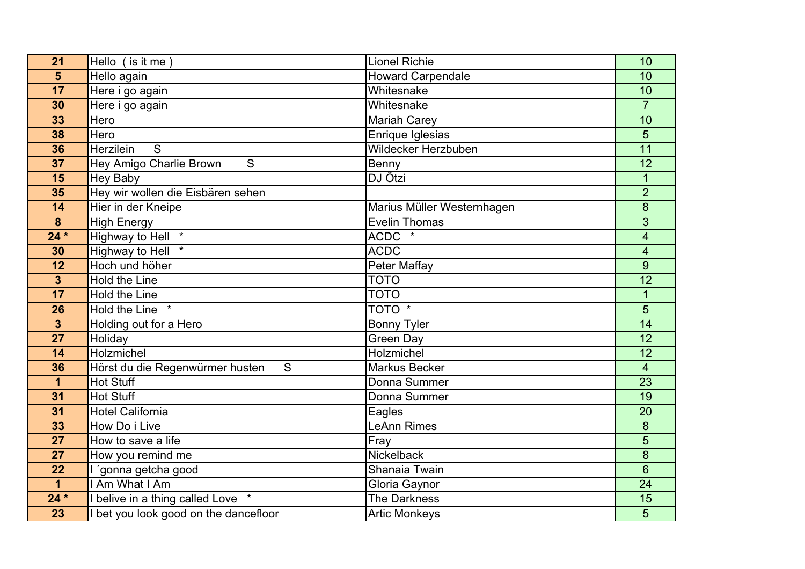| 21                      | Hello (is it me)                     | <b>Lionel Richie</b>       | 10                      |
|-------------------------|--------------------------------------|----------------------------|-------------------------|
| 5                       | Hello again                          | <b>Howard Carpendale</b>   | 10                      |
| 17                      | Here i go again                      | Whitesnake                 | 10                      |
| 30                      | Here i go again                      | Whitesnake                 | $\overline{7}$          |
| 33                      | Hero                                 | <b>Mariah Carey</b>        | 10                      |
| 38                      | Hero                                 | Enrique Iglesias           | 5                       |
| 36                      | $\overline{S}$<br>Herzilein          | Wildecker Herzbuben        | $\overline{11}$         |
| 37                      | S<br>Hey Amigo Charlie Brown         | Benny                      | 12                      |
| 15                      | <b>Hey Baby</b>                      | DJ Ötzi                    | $\mathbf{1}$            |
| 35                      | Hey wir wollen die Eisbären sehen    |                            | $\overline{2}$          |
| 14                      | Hier in der Kneipe                   | Marius Müller Westernhagen | 8                       |
| 8                       | <b>High Energy</b>                   | <b>Evelin Thomas</b>       | 3                       |
| $24*$                   | $\star$<br><b>Highway to Hell</b>    | $ACDC$ $*$                 | $\overline{\mathbf{4}}$ |
| 30                      | Highway to Hell *                    | <b>ACDC</b>                | 4                       |
| 12                      | Hoch und höher                       | <b>Peter Maffay</b>        | $\overline{9}$          |
| $\overline{\mathbf{3}}$ | Hold the Line                        | <b>TOTO</b>                | $\overline{12}$         |
| 17                      | Hold the Line                        | <b>TOTO</b>                | $\mathbf{1}$            |
| 26                      | Hold the Line                        | TOTO <sup>*</sup>          | $\overline{5}$          |
| $\overline{3}$          | Holding out for a Hero               | <b>Bonny Tyler</b>         | 14                      |
| 27                      | Holiday                              | <b>Green Day</b>           | 12                      |
| 14                      | Holzmichel                           | Holzmichel                 | 12                      |
| 36                      | S<br>Hörst du die Regenwürmer husten | <b>Markus Becker</b>       | $\overline{4}$          |
| $\mathbf 1$             | <b>Hot Stuff</b>                     | Donna Summer               | 23                      |
| 31                      | <b>Hot Stuff</b>                     | Donna Summer               | $\overline{19}$         |
| 31                      | <b>Hotel California</b>              | Eagles                     | 20                      |
| 33                      | How Do i Live                        | <b>LeAnn Rimes</b>         | 8                       |
| 27                      | How to save a life                   | Fray                       | 5                       |
| 27                      | How you remind me                    | Nickelback                 | 8                       |
| 22                      | 'gonna getcha good                   | Shanaia Twain              | $6\phantom{1}$          |
| 1                       | I Am What I Am                       | Gloria Gaynor              | 24                      |
| $24*$                   | belive in a thing called Love *      | The Darkness               | 15                      |
| $\overline{23}$         | bet you look good on the dancefloor  | <b>Artic Monkeys</b>       | 5                       |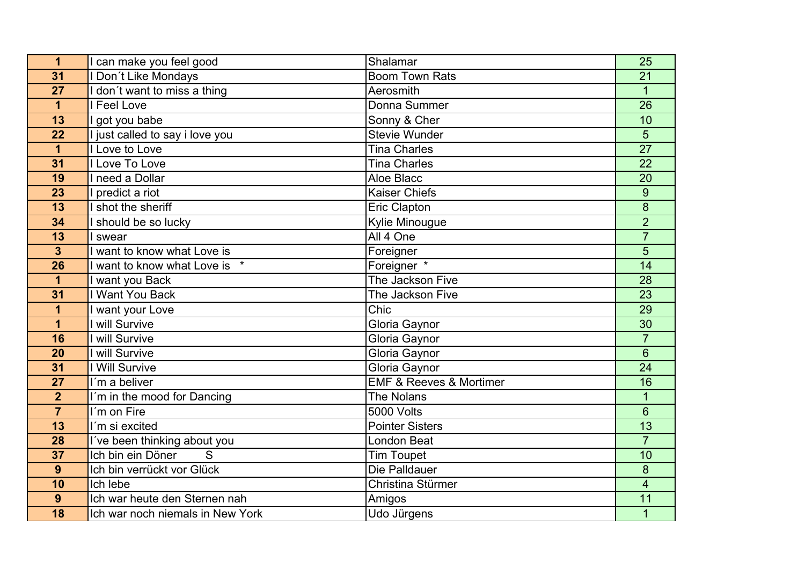| $\mathbf 1$     | I can make you feel good         | Shalamar                               | 25                      |
|-----------------|----------------------------------|----------------------------------------|-------------------------|
| 31              | Don't Like Mondays               | <b>Boom Town Rats</b>                  | 21                      |
| 27              | I don't want to miss a thing     | Aerosmith                              | $\overline{1}$          |
| 1               | Feel Love                        | Donna Summer                           | 26                      |
| 13              | I got you babe                   | Sonny & Cher                           | 10                      |
| 22              | I just called to say i love you  | <b>Stevie Wunder</b>                   | 5                       |
| $\overline{1}$  | I Love to Love                   | <b>Tina Charles</b>                    | $\overline{27}$         |
| 31              | I Love To Love                   | <b>Tina Charles</b>                    | 22                      |
| 19              | I need a Dollar                  | Aloe Blacc                             | 20                      |
| 23              | I predict a riot                 | <b>Kaiser Chiefs</b>                   | $\overline{9}$          |
| 13              | shot the sheriff                 | Eric Clapton                           | 8                       |
| 34              | should be so lucky               | Kylie Minougue                         | $\overline{2}$          |
| $\overline{13}$ | I swear                          | All 4 One                              | $\overline{7}$          |
| $\overline{3}$  | I want to know what Love is      | Foreigner                              | 5                       |
| $\overline{26}$ | I want to know what Love is *    | Foreigner *                            | $\overline{14}$         |
| 1               | I want you Back                  | The Jackson Five                       | 28                      |
| 31              | Want You Back                    | The Jackson Five                       | 23                      |
| 1               | I want your Love                 | Chic                                   | 29                      |
| $\overline{1}$  | I will Survive                   | Gloria Gaynor                          | 30                      |
| 16              | I will Survive                   | Gloria Gaynor                          | $\overline{7}$          |
| 20              | I will Survive                   | Gloria Gaynor                          | $6\phantom{1}$          |
| 31              | I Will Survive                   | Gloria Gaynor                          | 24                      |
| 27              | I'm a beliver                    | <b>EMF &amp; Reeves &amp; Mortimer</b> | 16                      |
| $\overline{2}$  | I'm in the mood for Dancing      | <b>The Nolans</b>                      | $\overline{1}$          |
| $\overline{7}$  | I'm on Fire                      | 5000 Volts                             | 6                       |
| 13              | I'm si excited                   | <b>Pointer Sisters</b>                 | 13                      |
| 28              | I've been thinking about you     | <b>London Beat</b>                     | $\overline{7}$          |
| 37              | Ich bin ein Döner<br>S           | <b>Tim Toupet</b>                      | 10                      |
| 9               | Ich bin verrückt vor Glück       | Die Palldauer                          | 8                       |
| 10              | Ich lebe                         | Christina Stürmer                      | $\overline{\mathbf{4}}$ |
| 9               | Ich war heute den Sternen nah    | Amigos                                 | 11                      |
| $\overline{18}$ | Ich war noch niemals in New York | Udo Jürgens                            | $\overline{1}$          |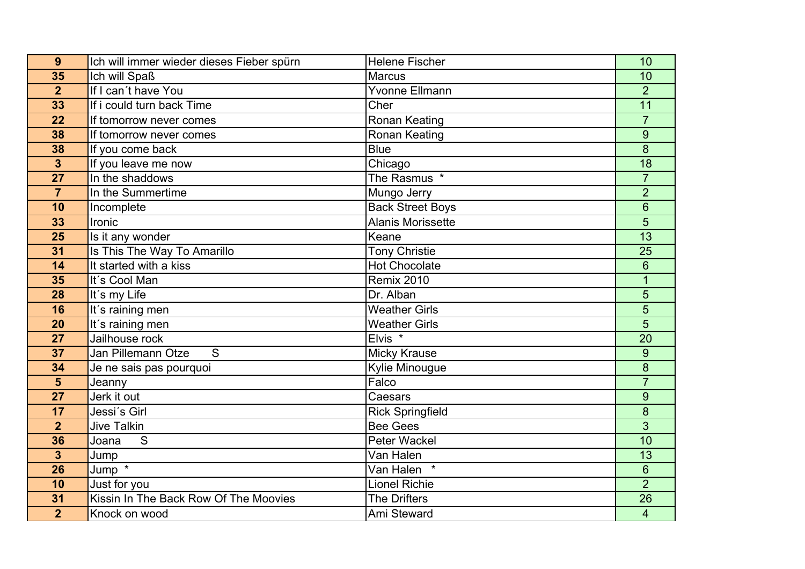| 9                       | Ich will immer wieder dieses Fieber spürn | <b>Helene Fischer</b>    | 10                       |
|-------------------------|-------------------------------------------|--------------------------|--------------------------|
| 35                      | Ich will Spaß                             | <b>Marcus</b>            | 10                       |
| $\overline{2}$          | If I can't have You                       | <b>Yvonne Ellmann</b>    | $\overline{2}$           |
| 33                      | If i could turn back Time                 | Cher                     | 11                       |
| 22                      | If tomorrow never comes                   | Ronan Keating            | $\overline{7}$           |
| 38                      | If tomorrow never comes                   | <b>Ronan Keating</b>     | 9                        |
| 38                      | If you come back                          | <b>Blue</b>              | 8                        |
| $\overline{\mathbf{3}}$ | If you leave me now                       | Chicago                  | 18                       |
| 27                      | In the shaddows                           | The Rasmus *             | $\overline{7}$           |
| $\overline{7}$          | In the Summertime                         | Mungo Jerry              | $\overline{2}$           |
| 10                      | Incomplete                                | <b>Back Street Boys</b>  | 6                        |
| 33                      | Ironic                                    | <b>Alanis Morissette</b> | 5                        |
| $\overline{25}$         | Is it any wonder                          | Keane                    | $\overline{13}$          |
| 31                      | Is This The Way To Amarillo               | <b>Tony Christie</b>     | 25                       |
| 14                      | It started with a kiss                    | <b>Hot Chocolate</b>     | 6                        |
| 35                      | It's Cool Man                             | <b>Remix 2010</b>        | $\overline{1}$           |
| 28                      | It's my Life                              | Dr. Alban                | 5                        |
| 16                      | It's raining men                          | <b>Weather Girls</b>     | $\overline{5}$           |
| 20                      | It's raining men                          | <b>Weather Girls</b>     | 5                        |
| 27                      | Jailhouse rock                            | Elvis <sup>*</sup>       | 20                       |
| 37                      | Jan Pillemann Otze<br>S                   | <b>Micky Krause</b>      | 9                        |
| 34                      | Je ne sais pas pourquoi                   | Kylie Minougue           | 8                        |
| $5\phantom{1}$          | Jeanny                                    | Falco                    | $\overline{7}$           |
| 27                      | Jerk it out                               | Caesars                  | 9                        |
| 17                      | Jessi's Girl                              | <b>Rick Springfield</b>  | 8                        |
| $\overline{2}$          | <b>Jive Talkin</b>                        | <b>Bee Gees</b>          | 3                        |
| 36                      | Joana<br>S                                | <b>Peter Wackel</b>      | 10                       |
| $\overline{\mathbf{3}}$ | Jump                                      | Van Halen                | 13                       |
| 26                      | Jump *                                    | Van Halen                | 6                        |
| 10                      | Just for you                              | <b>Lionel Richie</b>     | $\overline{2}$           |
| 31                      | Kissin In The Back Row Of The Moovies     | <b>The Drifters</b>      | 26                       |
| $\overline{2}$          | Knock on wood                             | Ami Steward              | $\overline{\mathcal{A}}$ |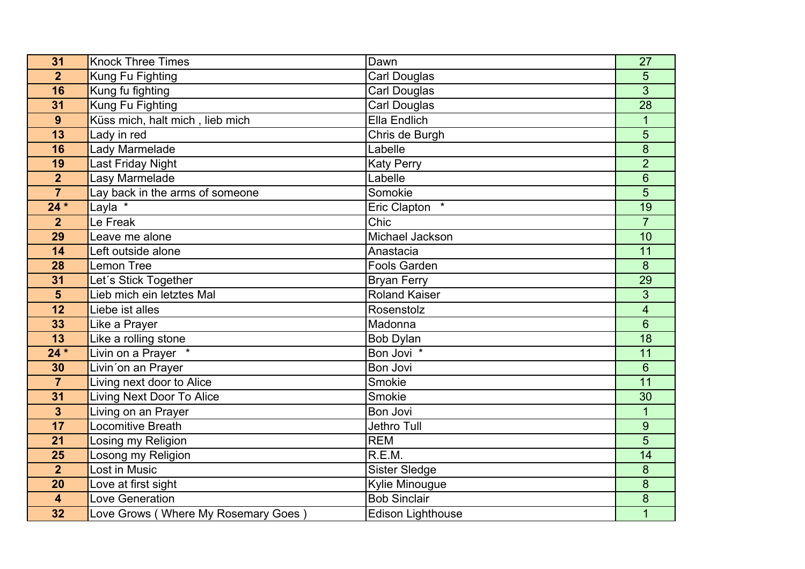| 31                      | <b>Knock Three Times</b>            | Dawn                     | 27                      |
|-------------------------|-------------------------------------|--------------------------|-------------------------|
| $\overline{2}$          | Kung Fu Fighting                    | <b>Carl Douglas</b>      | 5                       |
| 16                      | Kung fu fighting                    | Carl Douglas             | 3                       |
| 31                      | Kung Fu Fighting                    | <b>Carl Douglas</b>      | $\overline{28}$         |
| 9                       | Küss mich, halt mich, lieb mich     | Ella Endlich             | $\mathbf{1}$            |
| 13                      | Lady in red                         | Chris de Burgh           | 5                       |
| 16                      | Lady Marmelade                      | Labelle                  | 8                       |
| 19                      | Last Friday Night                   | <b>Katy Perry</b>        | $\overline{2}$          |
| $\overline{2}$          | Lasy Marmelade                      | Labelle                  | 6                       |
| $\overline{7}$          | Lay back in the arms of someone     | Somokie                  | 5                       |
| $24*$                   | Layla *                             | Eric Clapton             | 19                      |
| $\overline{2}$          | Le Freak                            | Chic                     | $\overline{7}$          |
| 29                      | Leave me alone                      | Michael Jackson          | 10                      |
| 14                      | Left outside alone                  | Anastacia                | 11                      |
| 28                      | <b>Lemon Tree</b>                   | <b>Fools Garden</b>      | $\delta$                |
| 31                      | Let's Stick Together                | <b>Bryan Ferry</b>       | 29                      |
| $5\phantom{1}$          | Lieb mich ein letztes Mal           | <b>Roland Kaiser</b>     | 3                       |
| 12                      | Liebe ist alles                     | Rosenstolz               | $\overline{\mathbf{4}}$ |
| 33                      | Like a Prayer                       | Madonna                  | 6                       |
| 13                      | Like a rolling stone                | <b>Bob Dylan</b>         | $\overline{18}$         |
| $24*$                   | Livin on a Prayer *                 | Bon Jovi *               | 11                      |
| 30                      | Livin'on an Prayer                  | Bon Jovi                 | 6                       |
| $\overline{7}$          | Living next door to Alice           | Smokie                   | 11                      |
| 31                      | <b>Living Next Door To Alice</b>    | Smokie                   | 30                      |
| $\overline{\mathbf{3}}$ | Living on an Prayer                 | Bon Jovi                 | $\mathbf{1}$            |
| 17                      | Locomitive Breath                   | Jethro Tull              | 9                       |
| 21                      | Losing my Religion                  | <b>REM</b>               | 5                       |
| 25                      | Losong my Religion                  | R.E.M.                   | 14                      |
| $\overline{\mathbf{2}}$ | Lost in Music                       | <b>Sister Sledge</b>     | $\bf 8$                 |
| 20                      | Love at first sight                 | Kylie Minougue           | 8                       |
| 4                       | Love Generation                     | <b>Bob Sinclair</b>      | $\boldsymbol{8}$        |
| 32                      | Love Grows (Where My Rosemary Goes) | <b>Edison Lighthouse</b> | $\overline{1}$          |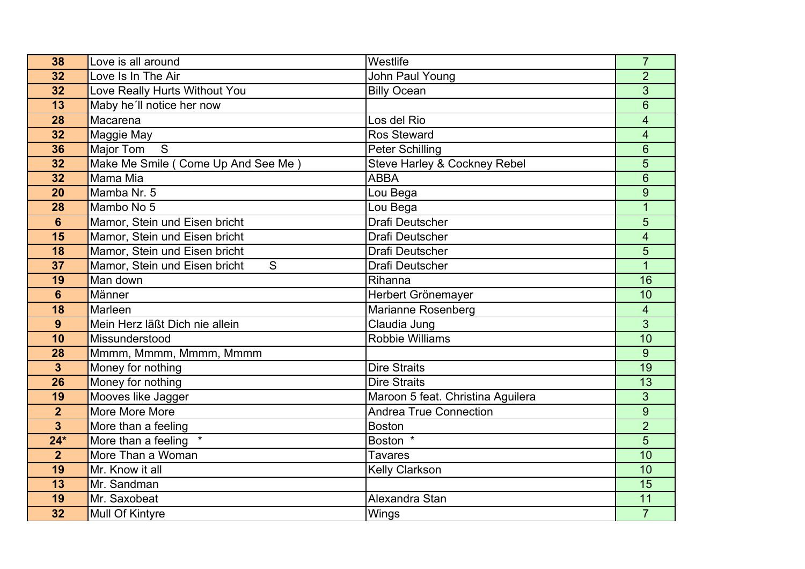| 38                      | Love is all around                              | Westlife                                | $\overline{7}$          |
|-------------------------|-------------------------------------------------|-----------------------------------------|-------------------------|
| 32                      | Love Is In The Air                              | John Paul Young                         | $\overline{2}$          |
| 32                      | Love Really Hurts Without You                   | <b>Billy Ocean</b>                      | 3                       |
| $\overline{13}$         | Maby he'll notice her now                       |                                         | $\overline{6}$          |
| 28                      | Macarena                                        | Los del Rio                             | $\overline{\mathbf{4}}$ |
| 32                      | Maggie May                                      | <b>Ros Steward</b>                      | $\overline{\mathbf{4}}$ |
| 36                      | Major Tom<br>S                                  | <b>Peter Schilling</b>                  | $6\phantom{1}$          |
| 32                      | Make Me Smile ( Come Up And See Me )            | <b>Steve Harley &amp; Cockney Rebel</b> | 5                       |
| 32                      | Mama Mia                                        | <b>ABBA</b>                             | 6                       |
| 20                      | Mamba Nr. 5                                     | Lou Bega                                | $\overline{9}$          |
| 28                      | Mambo No 5                                      | Lou Bega                                | $\overline{1}$          |
| $6\phantom{1}$          | Mamor, Stein und Eisen bricht                   | Drafi Deutscher                         | 5                       |
| 15                      | Mamor, Stein und Eisen bricht                   | <b>Drafi Deutscher</b>                  | 4                       |
| 18                      | Mamor, Stein und Eisen bricht                   | <b>Drafi Deutscher</b>                  | 5                       |
| 37                      | Mamor, Stein und Eisen bricht<br>$\overline{S}$ | Drafi Deutscher                         | $\overline{1}$          |
| 19                      | Man down                                        | Rihanna                                 | 16                      |
| $6\phantom{1}$          | Männer                                          | Herbert Grönemayer                      | 10                      |
| 18                      | Marleen                                         | Marianne Rosenberg                      | $\overline{4}$          |
| 9                       | Mein Herz läßt Dich nie allein                  | Claudia Jung                            | 3                       |
| 10                      | Missunderstood                                  | <b>Robbie Williams</b>                  | 10                      |
| 28                      | Mmmm, Mmmm, Mmmm, Mmmm                          |                                         | 9                       |
| $\overline{\mathbf{3}}$ | Money for nothing                               | <b>Dire Straits</b>                     | 19                      |
| 26                      | Money for nothing                               | <b>Dire Straits</b>                     | 13                      |
| 19                      | Mooves like Jagger                              | Maroon 5 feat. Christina Aguilera       | 3                       |
| $\overline{2}$          | More More More                                  | <b>Andrea True Connection</b>           | 9                       |
| $\overline{\mathbf{3}}$ | More than a feeling                             | <b>Boston</b>                           | $\overline{2}$          |
| $24*$                   | More than a feeling *                           | Boston *                                | 5                       |
| $\overline{2}$          | More Than a Woman                               | <b>Tavares</b>                          | 10                      |
| 19                      | Mr. Know it all                                 | <b>Kelly Clarkson</b>                   | 10                      |
| 13                      | Mr. Sandman                                     |                                         | $\overline{15}$         |
| 19                      | Mr. Saxobeat                                    | Alexandra Stan                          | 11                      |
| 32                      | Mull Of Kintyre                                 | Wings                                   | $\overline{7}$          |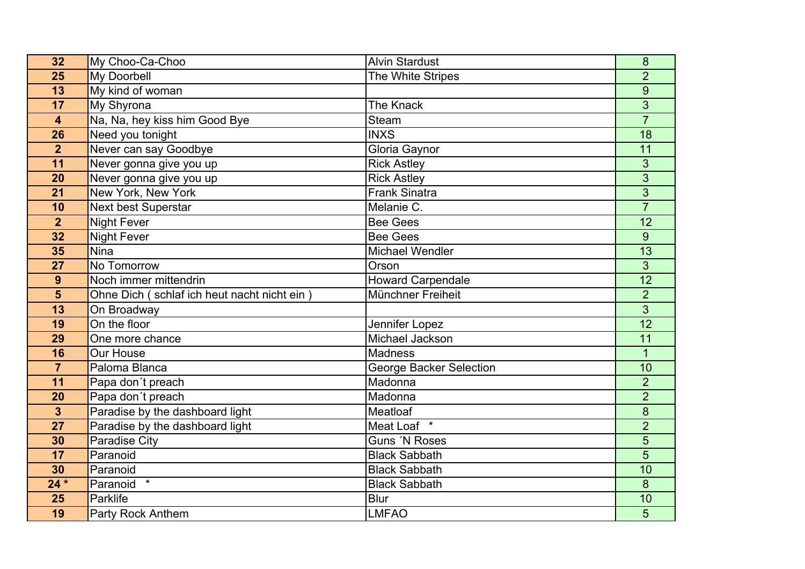| 32                      | My Choo-Ca-Choo                             | <b>Alvin Stardust</b>          | 8               |
|-------------------------|---------------------------------------------|--------------------------------|-----------------|
| 25                      | <b>My Doorbell</b>                          | The White Stripes              | $\overline{2}$  |
| 13                      | My kind of woman                            |                                | 9               |
| 17                      | My Shyrona                                  | The Knack                      | $\overline{3}$  |
| 4                       | Na, Na, hey kiss him Good Bye               | Steam                          | $\overline{7}$  |
| 26                      | Need you tonight                            | <b>INXS</b>                    | 18              |
| $\overline{2}$          | Never can say Goodbye                       | Gloria Gaynor                  | 11              |
| 11                      | Never gonna give you up                     | <b>Rick Astley</b>             | 3               |
| 20                      | Never gonna give you up                     | <b>Rick Astley</b>             | 3               |
| 21                      | New York, New York                          | Frank Sinatra                  | $\overline{3}$  |
| 10                      | <b>Next best Superstar</b>                  | Melanie C.                     | $\overline{7}$  |
| $\overline{2}$          | <b>Night Fever</b>                          | <b>Bee Gees</b>                | 12              |
| 32                      | <b>Night Fever</b>                          | <b>Bee Gees</b>                | 9               |
| 35                      | <b>Nina</b>                                 | <b>Michael Wendler</b>         | 13              |
| 27                      | No Tomorrow                                 | Orson                          | 3               |
| 9                       | Noch immer mittendrin                       | <b>Howard Carpendale</b>       | $\overline{12}$ |
| $5\phantom{1}$          | Ohne Dich (schlaf ich heut nacht nicht ein) | Münchner Freiheit              | $\overline{2}$  |
| 13                      | On Broadway                                 |                                | $\overline{3}$  |
| 19                      | On the floor                                | Jennifer Lopez                 | 12              |
| 29                      | One more chance                             | Michael Jackson                | 11              |
| 16                      | Our House                                   | <b>Madness</b>                 | $\mathbf 1$     |
| $\overline{7}$          | Paloma Blanca                               | <b>George Backer Selection</b> | 10              |
| 11                      | Papa don't preach                           | Madonna                        | $\overline{2}$  |
| 20                      | Papa don't preach                           | Madonna                        | $\overline{2}$  |
| $\overline{\mathbf{3}}$ | Paradise by the dashboard light             | Meatloaf                       | 8               |
| 27                      | Paradise by the dashboard light             | Meat Loaf $*$                  | $\overline{2}$  |
| 30                      | <b>Paradise City</b>                        | Guns 'N Roses                  | 5               |
| 17                      | Paranoid                                    | <b>Black Sabbath</b>           | 5               |
| 30                      | Paranoid                                    | <b>Black Sabbath</b>           | 10              |
| $24 *$                  | Paranoid *                                  | <b>Black Sabbath</b>           | 8               |
| 25                      | Parklife                                    | <b>Blur</b>                    | 10              |
| 19                      | <b>Party Rock Anthem</b>                    | <b>LMFAO</b>                   | 5               |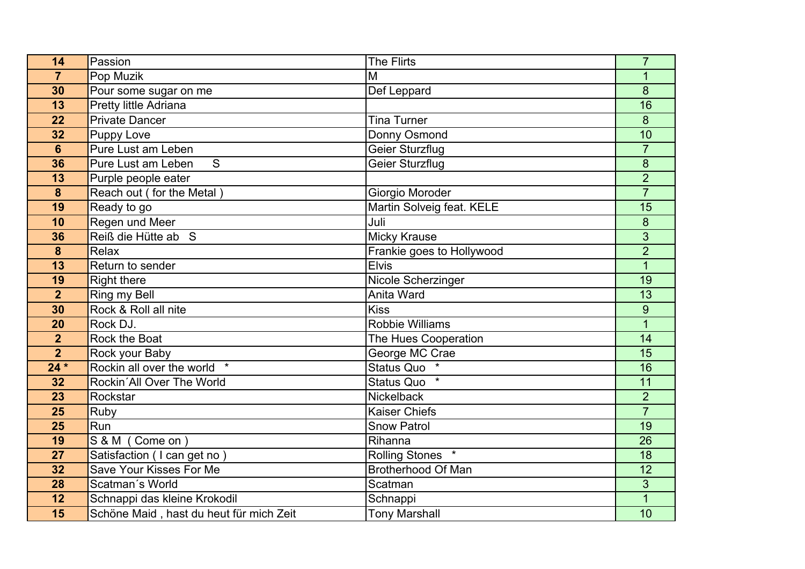| 14              | Passion                                 | <b>The Flirts</b>                | $\overline{7}$   |
|-----------------|-----------------------------------------|----------------------------------|------------------|
| $\overline{7}$  | Pop Muzik                               | M                                | 1                |
| 30              | Pour some sugar on me                   | Def Leppard                      | 8                |
| 13              | Pretty little Adriana                   |                                  | 16               |
| 22              | <b>Private Dancer</b>                   | <b>Tina Turner</b>               | 8                |
| 32              | <b>Puppy Love</b>                       | Donny Osmond                     | 10               |
| $6\phantom{1}$  | Pure Lust am Leben                      | <b>Geier Sturzflug</b>           | $\overline{7}$   |
| 36              | S<br>Pure Lust am Leben                 | Geier Sturzflug                  | $\boldsymbol{8}$ |
| 13              | Purple people eater                     |                                  | $\overline{2}$   |
| 8               | Reach out (for the Metal)               | Giorgio Moroder                  | $\overline{7}$   |
| 19              | Ready to go                             | Martin Solveig feat. KELE        | 15               |
| 10              | Regen und Meer                          | Juli                             | 8                |
| 36              | Reiß die Hütte ab S                     | <b>Micky Krause</b>              | 3                |
| 8               | Relax                                   | Frankie goes to Hollywood        | $\overline{2}$   |
| 13              | Return to sender                        | <b>Elvis</b>                     | $\mathbf{1}$     |
| 19              | <b>Right there</b>                      | Nicole Scherzinger               | 19               |
| $\overline{2}$  | Ring my Bell                            | Anita Ward                       | 13               |
| 30              | Rock & Roll all nite                    | Kiss                             | 9                |
| 20              | Rock DJ.                                | <b>Robbie Williams</b>           | $\overline{1}$   |
| $\overline{2}$  | Rock the Boat                           | The Hues Cooperation             | 14               |
| $\overline{2}$  | Rock your Baby                          | George MC Crae                   | $\overline{15}$  |
| $24*$           | Rockin all over the world *             | <b>Status Quo</b>                | 16               |
| 32              | Rockin'All Over The World               | <b>Status Quo</b>                | 11               |
| $\overline{23}$ | Rockstar                                | <b>Nickelback</b>                | $\overline{2}$   |
| 25              | Ruby                                    | <b>Kaiser Chiefs</b>             | $\overline{7}$   |
| 25              | Run                                     | <b>Snow Patrol</b>               | 19               |
| 19              | S & M (Come on)                         | Rihanna                          | 26               |
| 27              | Satisfaction (I can get no)             | <b>Rolling Stones</b><br>$\star$ | 18               |
| 32              | Save Your Kisses For Me                 | Brotherhood Of Man               | 12               |
| 28              | Scatman's World                         | Scatman                          | 3                |
| 12              | Schnappi das kleine Krokodil            | Schnappi                         | $\mathbf{1}$     |
| 15              | Schöne Maid, hast du heut für mich Zeit | <b>Tony Marshall</b>             | 10               |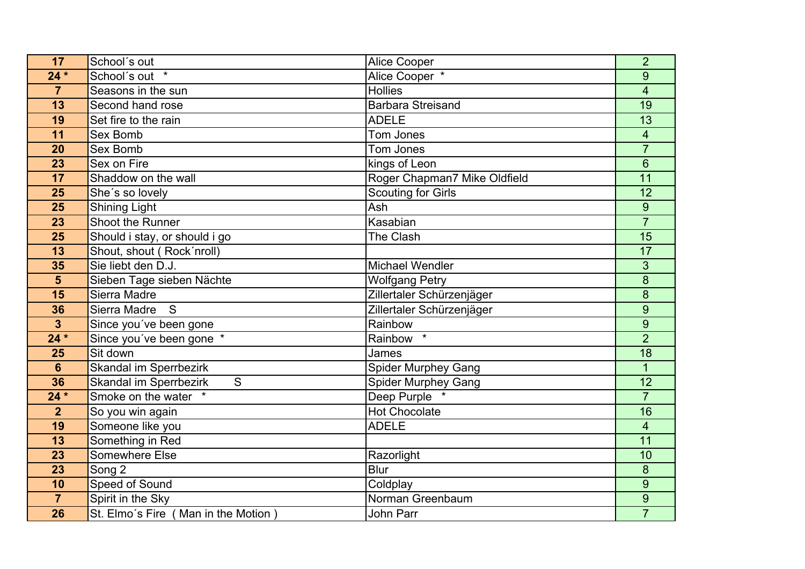| 17                      | School's out                                   | <b>Alice Cooper</b>          | $\overline{2}$           |
|-------------------------|------------------------------------------------|------------------------------|--------------------------|
| $24*$                   | School's out *                                 | Alice Cooper *               | 9                        |
| $\overline{7}$          | Seasons in the sun                             | <b>Hollies</b>               | $\overline{\mathcal{A}}$ |
| 13                      | Second hand rose                               | <b>Barbara Streisand</b>     | $\overline{19}$          |
| 19                      | Set fire to the rain                           | <b>ADELE</b>                 | 13                       |
| 11                      | Sex Bomb                                       | Tom Jones                    | $\overline{\mathcal{A}}$ |
| 20                      | <b>Sex Bomb</b>                                | Tom Jones                    | $\overline{7}$           |
| 23                      | Sex on Fire                                    | kings of Leon                | 6                        |
| 17                      | Shaddow on the wall                            | Roger Chapman7 Mike Oldfield | 11                       |
| 25                      | She's so lovely                                | <b>Scouting for Girls</b>    | 12                       |
| 25                      | <b>Shining Light</b>                           | Ash                          | 9                        |
| 23                      | Shoot the Runner                               | Kasabian                     | $\overline{7}$           |
| 25                      | Should i stay, or should i go                  | The Clash                    | 15                       |
| 13                      | Shout, shout (Rock'nroll)                      |                              | 17                       |
| 35                      | Sie liebt den D.J.                             | <b>Michael Wendler</b>       | 3                        |
| 5                       | Sieben Tage sieben Nächte                      | <b>Wolfgang Petry</b>        | 8                        |
| 15                      | Sierra Madre                                   | Zillertaler Schürzenjäger    | 8                        |
| 36                      | S<br>Sierra Madre                              | Zillertaler Schürzenjäger    | 9                        |
| $\overline{\mathbf{3}}$ | Since you've been gone                         | Rainbow                      | 9                        |
| $24*$                   | Since you've been gone *                       | Rainbow                      | $\overline{2}$           |
| 25                      | Sit down                                       | James                        | $\overline{18}$          |
| $6\phantom{a}$          | Skandal im Sperrbezirk                         | <b>Spider Murphey Gang</b>   | $\mathbf{1}$             |
| 36                      | <b>Skandal im Sperrbezirk</b><br>${\mathsf S}$ | Spider Murphey Gang          | 12                       |
| $24*$                   | Smoke on the water *                           | Deep Purple                  | $\overline{7}$           |
| $\overline{2}$          | So you win again                               | <b>Hot Chocolate</b>         | 16                       |
| 19                      | Someone like you                               | <b>ADELE</b>                 | $\overline{\mathbf{4}}$  |
| 13                      | Something in Red                               |                              | 11                       |
| 23                      | Somewhere Else                                 | Razorlight                   | 10                       |
| 23                      | Song 2                                         | Blur                         | 8                        |
| 10                      | Speed of Sound                                 | Coldplay                     | 9                        |
| $\overline{7}$          | Spirit in the Sky                              | Norman Greenbaum             | $\boldsymbol{9}$         |
| 26                      | St. Elmo's Fire (Man in the Motion)            | John Parr                    | $\overline{7}$           |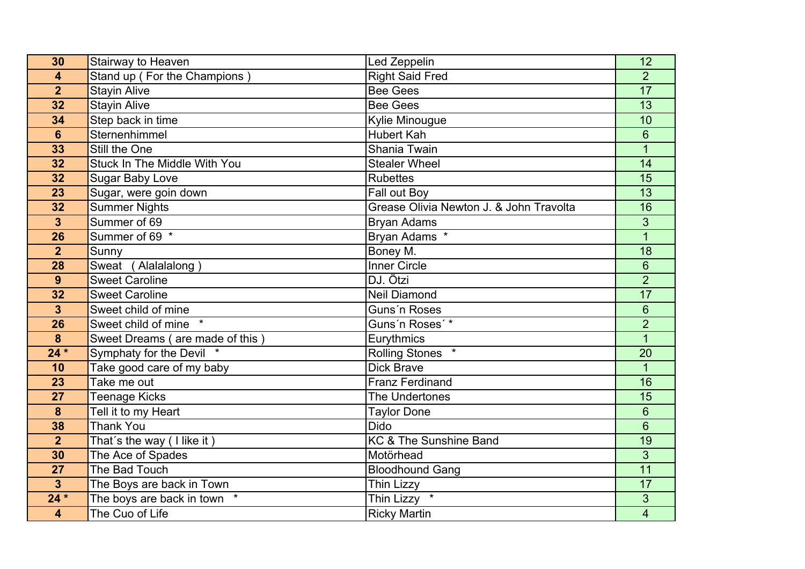| 30                      | Stairway to Heaven              | Led Zeppelin                            | 12                       |
|-------------------------|---------------------------------|-----------------------------------------|--------------------------|
| 4                       | Stand up (For the Champions)    | <b>Right Said Fred</b>                  | $\overline{2}$           |
| $\overline{2}$          | <b>Stayin Alive</b>             | <b>Bee Gees</b>                         | 17                       |
| 32                      | <b>Stayin Alive</b>             | <b>Bee Gees</b>                         | $\overline{13}$          |
| 34                      | Step back in time               | Kylie Minougue                          | 10                       |
| $6\phantom{1}6$         | Sternenhimmel                   | <b>Hubert Kah</b>                       | 6                        |
| 33                      | Still the One                   | Shania Twain                            |                          |
| 32                      | Stuck In The Middle With You    | <b>Stealer Wheel</b>                    | 14                       |
| 32                      | <b>Sugar Baby Love</b>          | Rubettes                                | 15                       |
| 23                      | Sugar, were goin down           | Fall out Boy                            | 13                       |
| 32                      | <b>Summer Nights</b>            | Grease Olivia Newton J. & John Travolta | 16                       |
| $\overline{\mathbf{3}}$ | Summer of 69                    | <b>Bryan Adams</b>                      | 3                        |
| 26                      | Summer of 69 *                  | Bryan Adams *                           | $\mathbf{1}$             |
| $\overline{2}$          | Sunny                           | Boney M.                                | 18                       |
| 28                      | Sweat (Alalalalong)             | <b>Inner Circle</b>                     | 6                        |
| 9                       | <b>Sweet Caroline</b>           | DJ. Ötzi                                | $\overline{2}$           |
| 32                      | <b>Sweet Caroline</b>           | <b>Neil Diamond</b>                     | 17                       |
| $\overline{3}$          | Sweet child of mine             | Guns'n Roses                            | 6                        |
| 26                      | Sweet child of mine             | Guns'n Roses'*                          | $\overline{2}$           |
| 8                       | Sweet Dreams (are made of this) | Eurythmics                              | $\mathbf{1}$             |
| $24*$                   | Symphaty for the Devil *        | <b>Rolling Stones</b><br>$\star$        | $\overline{20}$          |
| 10                      | Take good care of my baby       | <b>Dick Brave</b>                       | $\overline{1}$           |
| 23                      | Take me out                     | <b>Franz Ferdinand</b>                  | 16                       |
| 27                      | <b>Teenage Kicks</b>            | The Undertones                          | $\overline{15}$          |
| 8                       | Tell it to my Heart             | <b>Taylor Done</b>                      | 6                        |
| 38                      | <b>Thank You</b>                | <b>Dido</b>                             | 6                        |
| $\overline{2}$          | That's the way (I like it)      | <b>KC &amp; The Sunshine Band</b>       | $\overline{19}$          |
| 30                      | The Ace of Spades               | Motörhead                               | 3                        |
| 27                      | The Bad Touch                   | <b>Bloodhound Gang</b>                  | 11                       |
| $\overline{\mathbf{3}}$ | The Boys are back in Town       | Thin Lizzy                              | 17                       |
| $24*$                   | The boys are back in town       | Thin Lizzy *                            | 3                        |
| $\overline{\mathbf{4}}$ | The Cuo of Life                 | <b>Ricky Martin</b>                     | $\overline{\mathcal{A}}$ |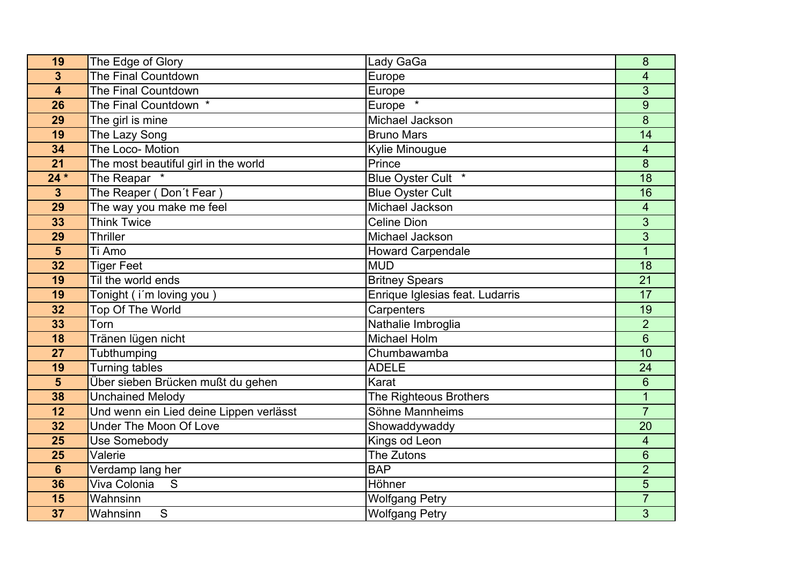| 19                      | The Edge of Glory                       | Lady GaGa                       | 8                        |
|-------------------------|-----------------------------------------|---------------------------------|--------------------------|
| 3                       | The Final Countdown                     | Europe                          | 4                        |
| $\overline{\mathbf{4}}$ | The Final Countdown                     | Europe                          | 3                        |
| 26                      | The Final Countdown *                   | Europe                          | 9                        |
| 29                      | The girl is mine                        | Michael Jackson                 | 8                        |
| 19                      | The Lazy Song                           | <b>Bruno Mars</b>               | 14                       |
| 34                      | The Loco- Motion                        | <b>Kylie Minougue</b>           | $\overline{\mathcal{A}}$ |
| 21                      | The most beautiful girl in the world    | Prince                          | $\boldsymbol{8}$         |
| $24*$                   | The Reapar *                            | Blue Oyster Cult *              | 18                       |
| $\mathbf{3}$            | The Reaper (Don't Fear)                 | <b>Blue Oyster Cult</b>         | 16                       |
| 29                      | The way you make me feel                | Michael Jackson                 | 4                        |
| 33                      | <b>Think Twice</b>                      | <b>Celine Dion</b>              | 3                        |
| 29                      | <b>Thriller</b>                         | Michael Jackson                 | 3                        |
| 5                       | Ti Amo                                  | <b>Howard Carpendale</b>        | $\overline{1}$           |
| 32                      | <b>Tiger Feet</b>                       | <b>MUD</b>                      | $\overline{18}$          |
| 19                      | Til the world ends                      | <b>Britney Spears</b>           | 21                       |
| 19                      | Tonight (i'm loving you)                | Enrique Iglesias feat. Ludarris | 17                       |
| 32                      | <b>Top Of The World</b>                 | Carpenters                      | $\overline{19}$          |
| 33                      | Torn                                    | Nathalie Imbroglia              | $\overline{2}$           |
| 18                      | Tränen lügen nicht                      | Michael Holm                    | $6\phantom{1}$           |
| 27                      | Tubthumping                             | Chumbawamba                     | 10                       |
| 19                      | <b>Turning tables</b>                   | <b>ADELE</b>                    | 24                       |
| 5                       | Über sieben Brücken mußt du gehen       | Karat                           | 6                        |
| 38                      | <b>Unchained Melody</b>                 | The Righteous Brothers          | $\mathbf{1}$             |
| 12                      | Und wenn ein Lied deine Lippen verlässt | Söhne Mannheims                 | $\overline{7}$           |
| 32                      | <b>Under The Moon Of Love</b>           | Showaddywaddy                   | 20                       |
| 25                      | Use Somebody                            | Kings od Leon                   | 4                        |
| 25                      | Valerie                                 | The Zutons                      | 6                        |
| $6\phantom{1}$          | Verdamp lang her                        | <b>BAP</b>                      | $\overline{2}$           |
| 36                      | Viva Colonia<br>S                       | Höhner                          | $\overline{5}$           |
| 15                      | Wahnsinn                                | <b>Wolfgang Petry</b>           | $\overline{7}$           |
| 37                      | S<br>Wahnsinn                           | <b>Wolfgang Petry</b>           | 3                        |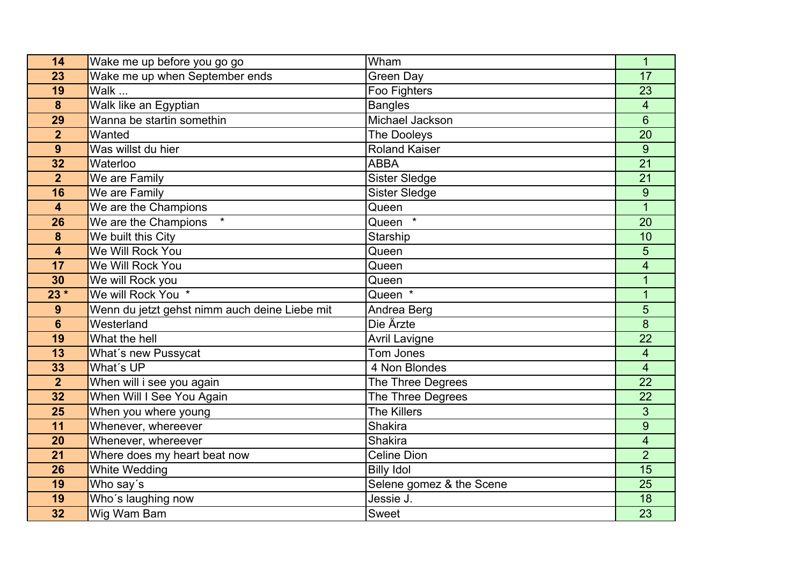| 14                      | Wake me up before you go go                   | Wham                     | $\mathbf{1}$            |
|-------------------------|-----------------------------------------------|--------------------------|-------------------------|
| 23                      | Wake me up when September ends                | <b>Green Day</b>         | 17                      |
| 19                      | Walk                                          | Foo Fighters             | 23                      |
| $\boldsymbol{8}$        | Walk like an Egyptian                         | <b>Bangles</b>           | $\overline{\mathbf{4}}$ |
| 29                      | Wanna be startin somethin                     | Michael Jackson          | $6\overline{6}$         |
| $\overline{2}$          | Wanted                                        | The Dooleys              | 20                      |
| 9                       | Was willst du hier                            | <b>Roland Kaiser</b>     | 9                       |
| 32                      | Waterloo                                      | <b>ABBA</b>              | 21                      |
| $\overline{2}$          | We are Family                                 | Sister Sledge            | 21                      |
| 16                      | We are Family                                 | <b>Sister Sledge</b>     | 9                       |
| $\overline{\mathbf{4}}$ | We are the Champions                          | Queen                    | 1                       |
| 26                      | $\star$<br>We are the Champions               | Queen $*$                | 20                      |
| 8                       | We built this City                            | Starship                 | 10                      |
| $\overline{\mathbf{4}}$ | We Will Rock You                              | Queen                    | 5                       |
| 17                      | We Will Rock You                              | Queen                    | $\overline{\mathbf{4}}$ |
| 30                      | We will Rock you                              | Queen                    | 1                       |
| $23*$                   | We will Rock You *                            | Queen *                  | $\overline{1}$          |
| 9                       | Wenn du jetzt gehst nimm auch deine Liebe mit | Andrea Berg              | 5                       |
| $6\phantom{1}$          | Westerland                                    | Die Ärzte                | 8                       |
| 19                      | What the hell                                 | <b>Avril Lavigne</b>     | 22                      |
| 13                      | What's new Pussycat                           | Tom Jones                | 4                       |
| 33                      | What's UP                                     | 4 Non Blondes            | $\overline{\mathbf{4}}$ |
| $\overline{2}$          | When will i see you again                     | The Three Degrees        | 22                      |
| 32                      | When Will I See You Again                     | The Three Degrees        | 22                      |
| 25                      | When you where young                          | <b>The Killers</b>       | 3                       |
| 11                      | Whenever, whereever                           | Shakira                  | 9                       |
| 20                      | Whenever, whereever                           | Shakira                  | 4                       |
| 21                      | Where does my heart beat now                  | <b>Celine Dion</b>       | $\overline{2}$          |
| 26                      | <b>White Wedding</b>                          | <b>Billy Idol</b>        | 15                      |
| 19                      | Who say's                                     | Selene gomez & the Scene | $\overline{25}$         |
| 19                      | Who's laughing now                            | Jessie J.                | 18                      |
| 32                      | Wig Wam Bam                                   | Sweet                    | 23                      |